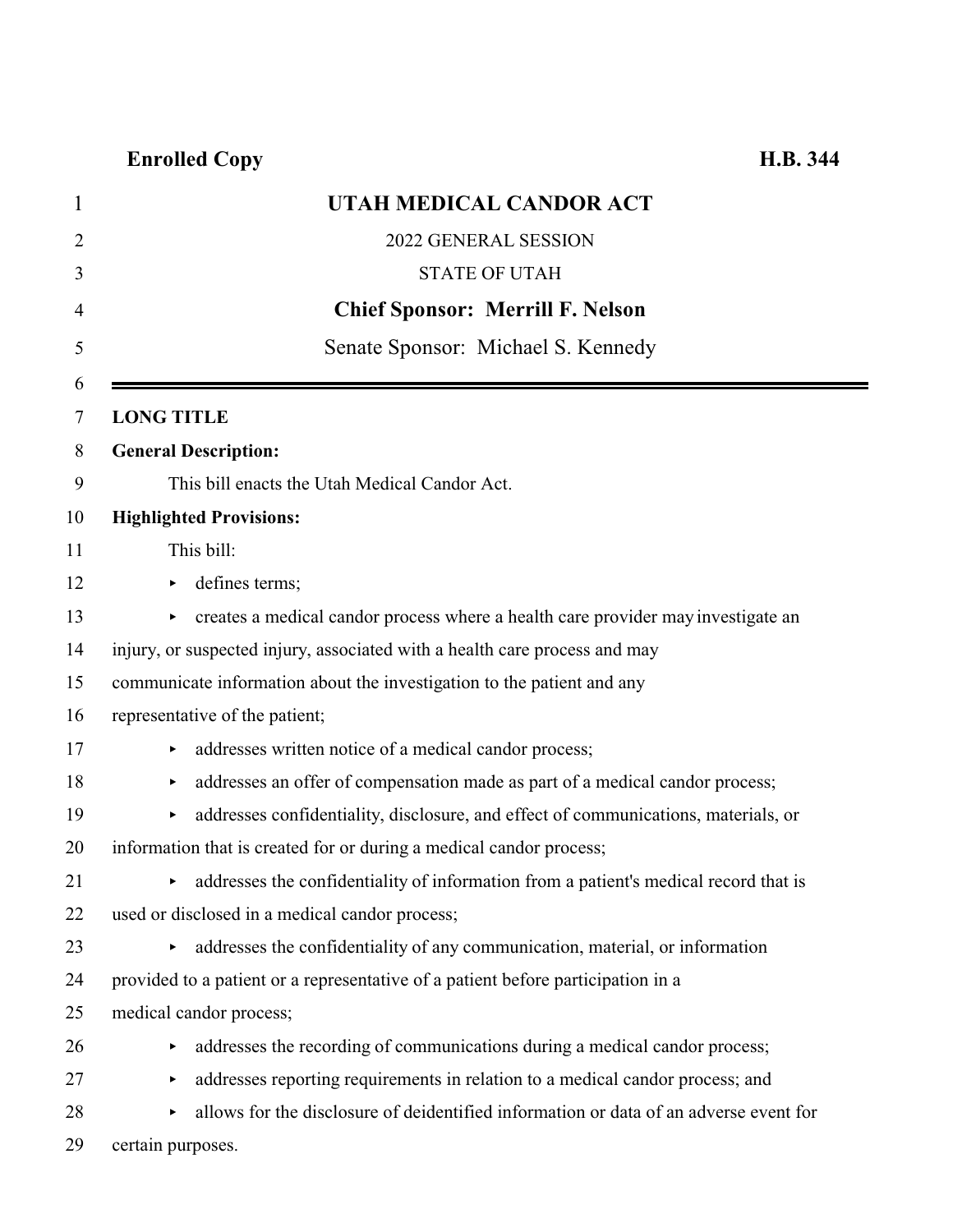| $\mathbf 1$    | UTAH MEDICAL CANDOR ACT                                                                |
|----------------|----------------------------------------------------------------------------------------|
| $\overline{2}$ | 2022 GENERAL SESSION                                                                   |
| 3              | <b>STATE OF UTAH</b>                                                                   |
| 4              | <b>Chief Sponsor: Merrill F. Nelson</b>                                                |
| 5              | Senate Sponsor: Michael S. Kennedy                                                     |
| 6<br>7         | <b>LONG TITLE</b>                                                                      |
| 8              | <b>General Description:</b>                                                            |
| 9              | This bill enacts the Utah Medical Candor Act.                                          |
| 10             | <b>Highlighted Provisions:</b>                                                         |
| 11             | This bill:                                                                             |
| 12             | defines terms;<br>▶                                                                    |
| 13             | creates a medical candor process where a health care provider may investigate an       |
| 14             | injury, or suspected injury, associated with a health care process and may             |
| 15             | communicate information about the investigation to the patient and any                 |
| 16             | representative of the patient;                                                         |
| 17             | addresses written notice of a medical candor process;                                  |
| 18             | addresses an offer of compensation made as part of a medical candor process;           |
| 19             | addresses confidentiality, disclosure, and effect of communications, materials, or     |
| 20             | information that is created for or during a medical candor process;                    |
| 21             | • addresses the confidentiality of information from a patient's medical record that is |
| 22             | used or disclosed in a medical candor process;                                         |
| 23             | addresses the confidentiality of any communication, material, or information<br>Þ.     |
| 24             | provided to a patient or a representative of a patient before participation in a       |
| 25             | medical candor process;                                                                |
| 26             | addresses the recording of communications during a medical candor process;             |
| 27             | addresses reporting requirements in relation to a medical candor process; and<br>▶     |
| 28             | allows for the disclosure of deidentified information or data of an adverse event for  |
| 29             | certain purposes.                                                                      |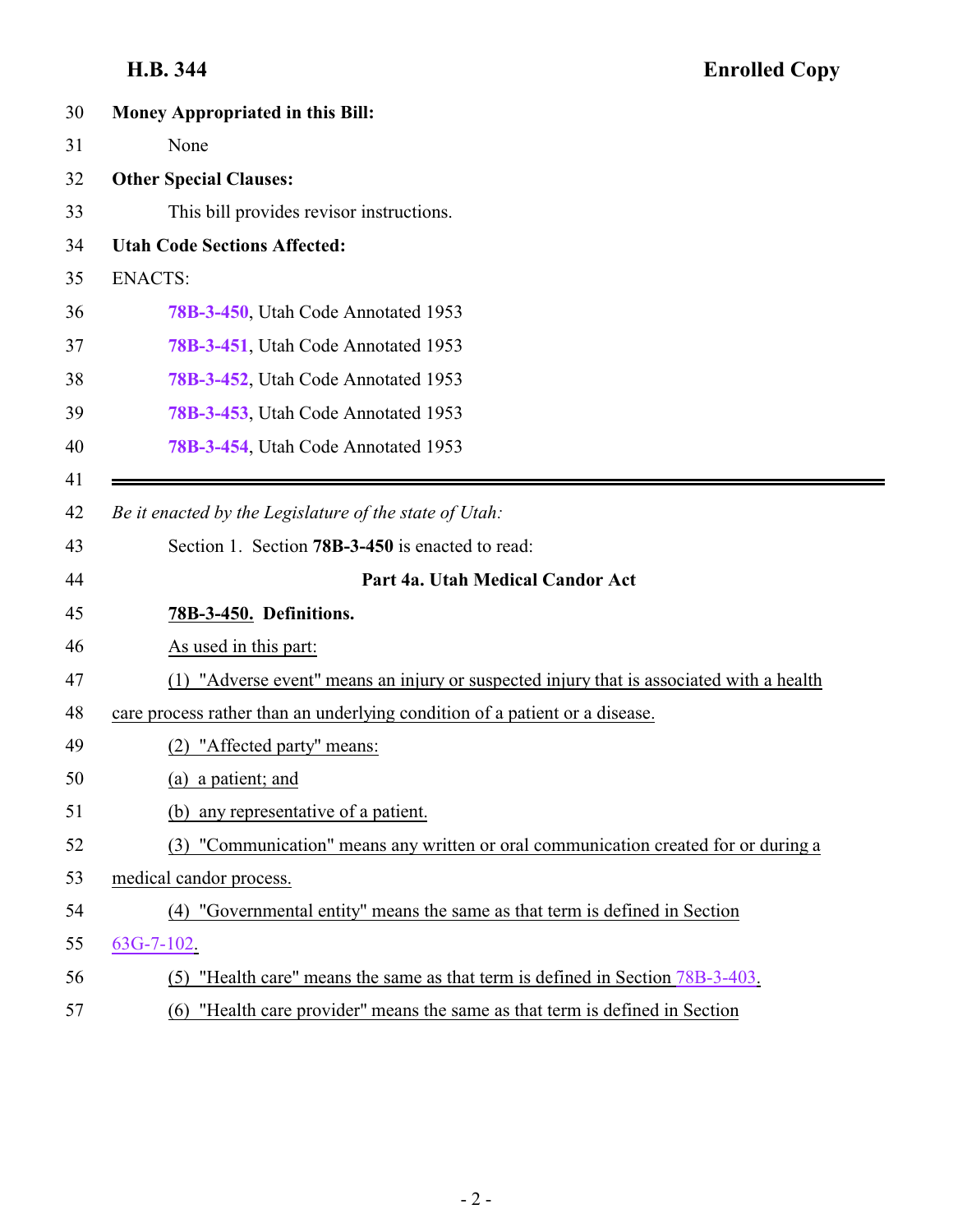<span id="page-1-0"></span>

| 30 | Money Appropriated in this Bill:                                                            |
|----|---------------------------------------------------------------------------------------------|
|    | None                                                                                        |
|    | <b>Other Special Clauses:</b>                                                               |
|    | This bill provides revisor instructions.                                                    |
|    | <b>Utah Code Sections Affected:</b>                                                         |
|    | <b>ENACTS:</b>                                                                              |
|    | 78B-3-450, Utah Code Annotated 1953                                                         |
|    | 78B-3-451, Utah Code Annotated 1953                                                         |
|    | 78B-3-452, Utah Code Annotated 1953                                                         |
|    | 78B-3-453, Utah Code Annotated 1953                                                         |
|    | 78B-3-454, Utah Code Annotated 1953                                                         |
|    |                                                                                             |
|    | Be it enacted by the Legislature of the state of Utah:                                      |
|    | Section 1. Section <b>78B-3-450</b> is enacted to read:                                     |
|    | Part 4a. Utah Medical Candor Act                                                            |
|    | 78B-3-450. Definitions.                                                                     |
|    | As used in this part:                                                                       |
|    | "Adverse event" means an injury or suspected injury that is associated with a health<br>(1) |
|    | care process rather than an underlying condition of a patient or a disease.                 |
|    | "Affected party" means:<br>(2)                                                              |
|    | (a) a patient; and                                                                          |
|    | any representative of a patient.<br>(b)                                                     |
|    | "Communication" means any written or oral communication created for or during a<br>(3)      |
|    | medical candor process.                                                                     |
|    | "Governmental entity" means the same as that term is defined in Section<br>(4)              |
|    | $63G-7-102$ .                                                                               |
|    | (5) "Health care" means the same as that term is defined in Section 78B-3-403.              |
|    | "Health care provider" means the same as that term is defined in Section<br>(6)             |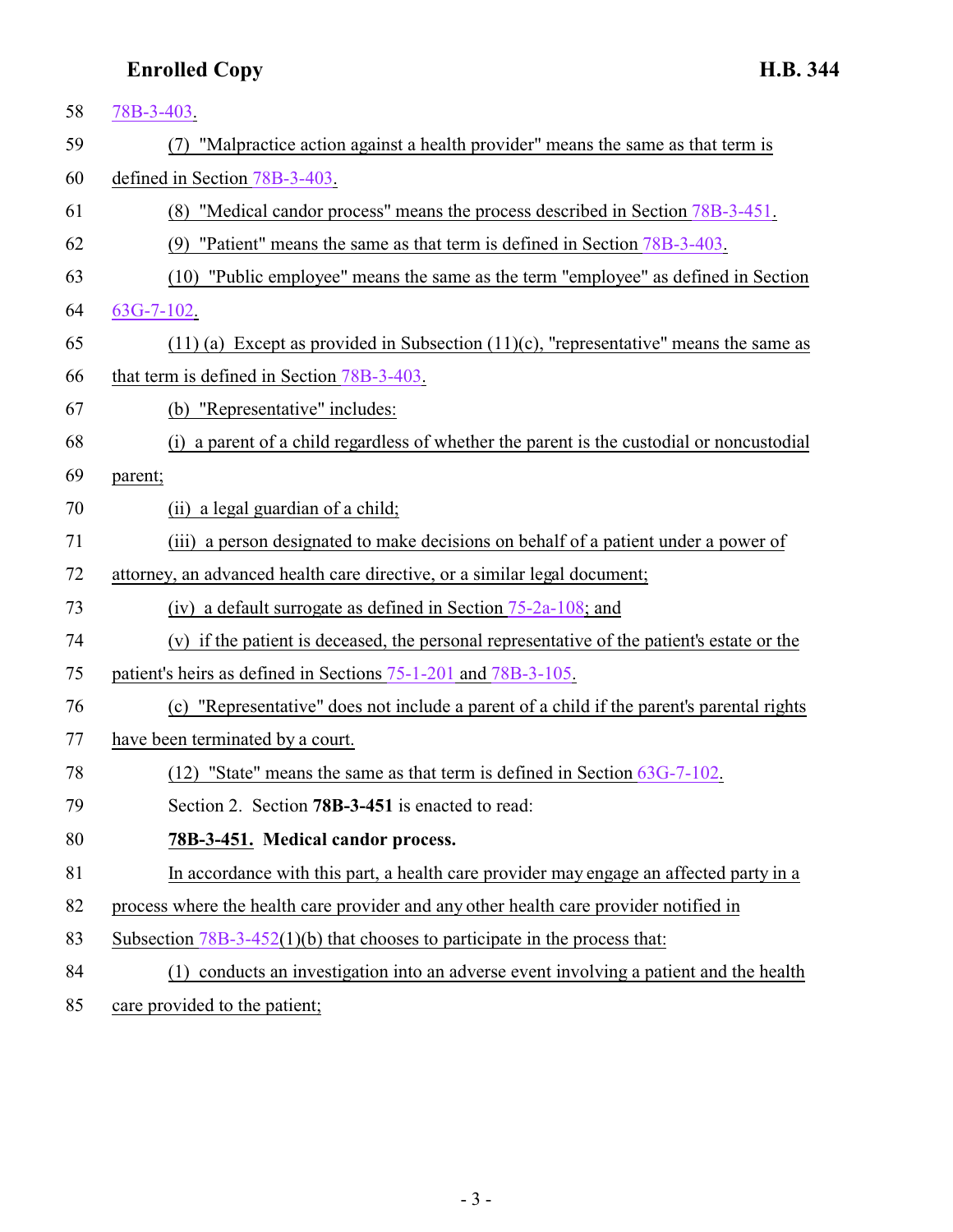<span id="page-2-0"></span>

| 58 | 78B-3-403.                                                                                 |
|----|--------------------------------------------------------------------------------------------|
| 59 | "Malpractice action against a health provider" means the same as that term is<br>(7)       |
| 60 | defined in Section 78B-3-403.                                                              |
| 61 | (8) "Medical candor process" means the process described in Section 78B-3-451.             |
| 62 | (9) "Patient" means the same as that term is defined in Section 78B-3-403.                 |
| 63 | (10) "Public employee" means the same as the term "employee" as defined in Section         |
| 64 | $63G-7-102$ .                                                                              |
| 65 | $(11)$ (a) Except as provided in Subsection $(11)$ (c), "representative" means the same as |
| 66 | that term is defined in Section 78B-3-403.                                                 |
| 67 | (b) "Representative" includes:                                                             |
| 68 | (i) a parent of a child regardless of whether the parent is the custodial or noncustodial  |
| 69 | parent;                                                                                    |
| 70 | (ii) a legal guardian of a child;                                                          |
| 71 | (iii) a person designated to make decisions on behalf of a patient under a power of        |
| 72 | attorney, an advanced health care directive, or a similar legal document;                  |
| 73 | (iv) a default surrogate as defined in Section $75-2a-108$ ; and                           |
| 74 | (v) if the patient is deceased, the personal representative of the patient's estate or the |
| 75 | patient's heirs as defined in Sections 75-1-201 and 78B-3-105.                             |
| 76 | (c) "Representative" does not include a parent of a child if the parent's parental rights  |
| 77 | have been terminated by a court.                                                           |
| 78 | "State" means the same as that term is defined in Section 63G-7-102.<br>(12)               |
| 79 | Section 2. Section 78B-3-451 is enacted to read:                                           |
| 80 | 78B-3-451. Medical candor process.                                                         |
| 81 | In accordance with this part, a health care provider may engage an affected party in a     |
| 82 | process where the health care provider and any other health care provider notified in      |
| 83 | Subsection $78B-3-452(1)(b)$ that chooses to participate in the process that:              |
| 84 | (1) conducts an investigation into an adverse event involving a patient and the health     |
| 85 | care provided to the patient;                                                              |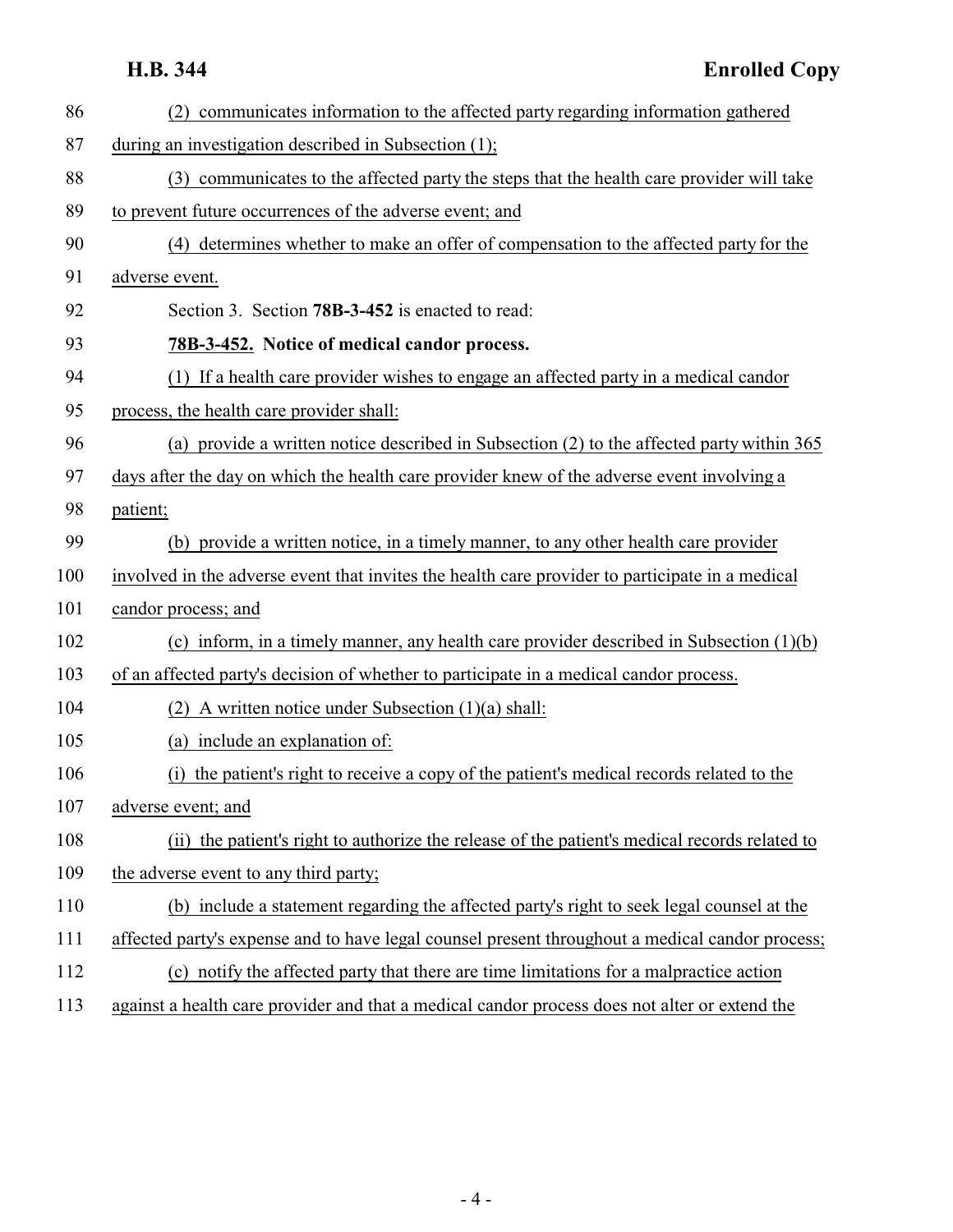<span id="page-3-0"></span>

| 86  | (2) communicates information to the affected party regarding information gathered               |
|-----|-------------------------------------------------------------------------------------------------|
| 87  | during an investigation described in Subsection (1);                                            |
| 88  | (3) communicates to the affected party the steps that the health care provider will take        |
| 89  | to prevent future occurrences of the adverse event; and                                         |
| 90  | (4) determines whether to make an offer of compensation to the affected party for the           |
| 91  | adverse event.                                                                                  |
| 92  | Section 3. Section 78B-3-452 is enacted to read:                                                |
| 93  | 78B-3-452. Notice of medical candor process.                                                    |
| 94  | (1) If a health care provider wishes to engage an affected party in a medical candor            |
| 95  | process, the health care provider shall:                                                        |
| 96  | (a) provide a written notice described in Subsection (2) to the affected party within 365       |
| 97  | days after the day on which the health care provider knew of the adverse event involving a      |
| 98  | patient;                                                                                        |
| 99  | (b) provide a written notice, in a timely manner, to any other health care provider             |
| 100 | involved in the adverse event that invites the health care provider to participate in a medical |
| 101 | candor process; and                                                                             |
| 102 | (c) inform, in a timely manner, any health care provider described in Subsection $(1)(b)$       |
| 103 | of an affected party's decision of whether to participate in a medical candor process.          |
| 104 | A written notice under Subsection (1)(a) shall:<br>(2)                                          |
| 105 | (a) include an explanation of:                                                                  |
| 106 | the patient's right to receive a copy of the patient's medical records related to the<br>(i)    |
| 107 | adverse event; and                                                                              |
| 108 | (ii) the patient's right to authorize the release of the patient's medical records related to   |
| 109 | the adverse event to any third party;                                                           |
| 110 | (b) include a statement regarding the affected party's right to seek legal counsel at the       |
| 111 | affected party's expense and to have legal counsel present throughout a medical candor process; |
| 112 | (c) notify the affected party that there are time limitations for a malpractice action          |
| 113 | against a health care provider and that a medical candor process does not alter or extend the   |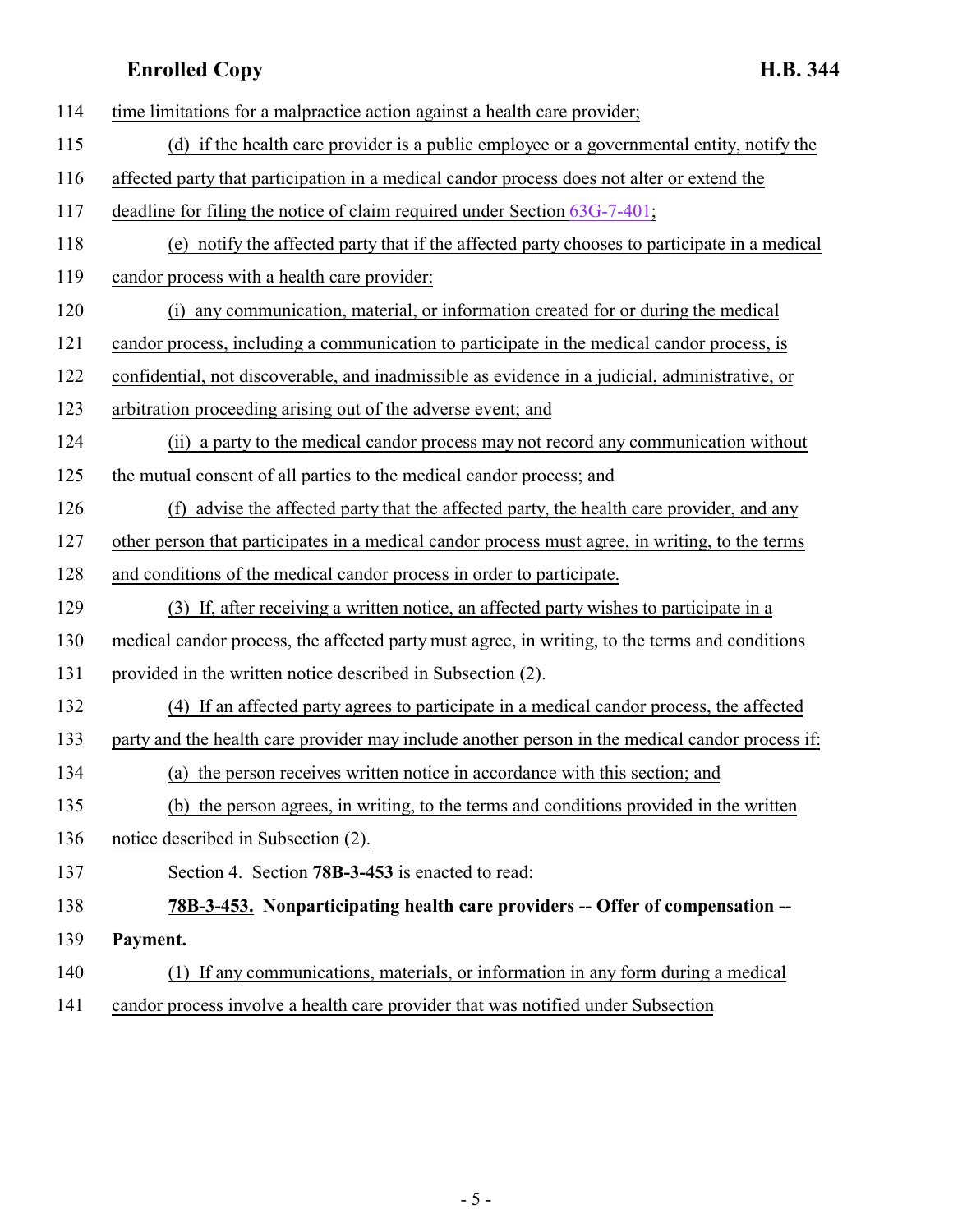<span id="page-4-0"></span>

| 114 | time limitations for a malpractice action against a health care provider;                       |
|-----|-------------------------------------------------------------------------------------------------|
| 115 | (d) if the health care provider is a public employee or a governmental entity, notify the       |
| 116 | affected party that participation in a medical candor process does not alter or extend the      |
| 117 | deadline for filing the notice of claim required under Section $63G-7-401$ ;                    |
| 118 | (e) notify the affected party that if the affected party chooses to participate in a medical    |
| 119 | candor process with a health care provider:                                                     |
| 120 | (i) any communication, material, or information created for or during the medical               |
| 121 | candor process, including a communication to participate in the medical candor process, is      |
| 122 | confidential, not discoverable, and inadmissible as evidence in a judicial, administrative, or  |
| 123 | arbitration proceeding arising out of the adverse event; and                                    |
| 124 | (ii) a party to the medical candor process may not record any communication without             |
| 125 | the mutual consent of all parties to the medical candor process; and                            |
| 126 | (f) advise the affected party that the affected party, the health care provider, and any        |
| 127 | other person that participates in a medical candor process must agree, in writing, to the terms |
| 128 | and conditions of the medical candor process in order to participate.                           |
| 129 | (3) If, after receiving a written notice, an affected party wishes to participate in a          |
| 130 | medical candor process, the affected party must agree, in writing, to the terms and conditions  |
| 131 | provided in the written notice described in Subsection (2).                                     |
| 132 | (4) If an affected party agrees to participate in a medical candor process, the affected        |
| 133 | party and the health care provider may include another person in the medical candor process if: |
| 134 | (a) the person receives written notice in accordance with this section; and                     |
| 135 | (b) the person agrees, in writing, to the terms and conditions provided in the written          |
| 136 | notice described in Subsection (2).                                                             |
| 137 | Section 4. Section 78B-3-453 is enacted to read:                                                |
| 138 | 78B-3-453. Nonparticipating health care providers -- Offer of compensation --                   |
| 139 | Payment.                                                                                        |
| 140 | (1) If any communications, materials, or information in any form during a medical               |
| 141 | candor process involve a health care provider that was notified under Subsection                |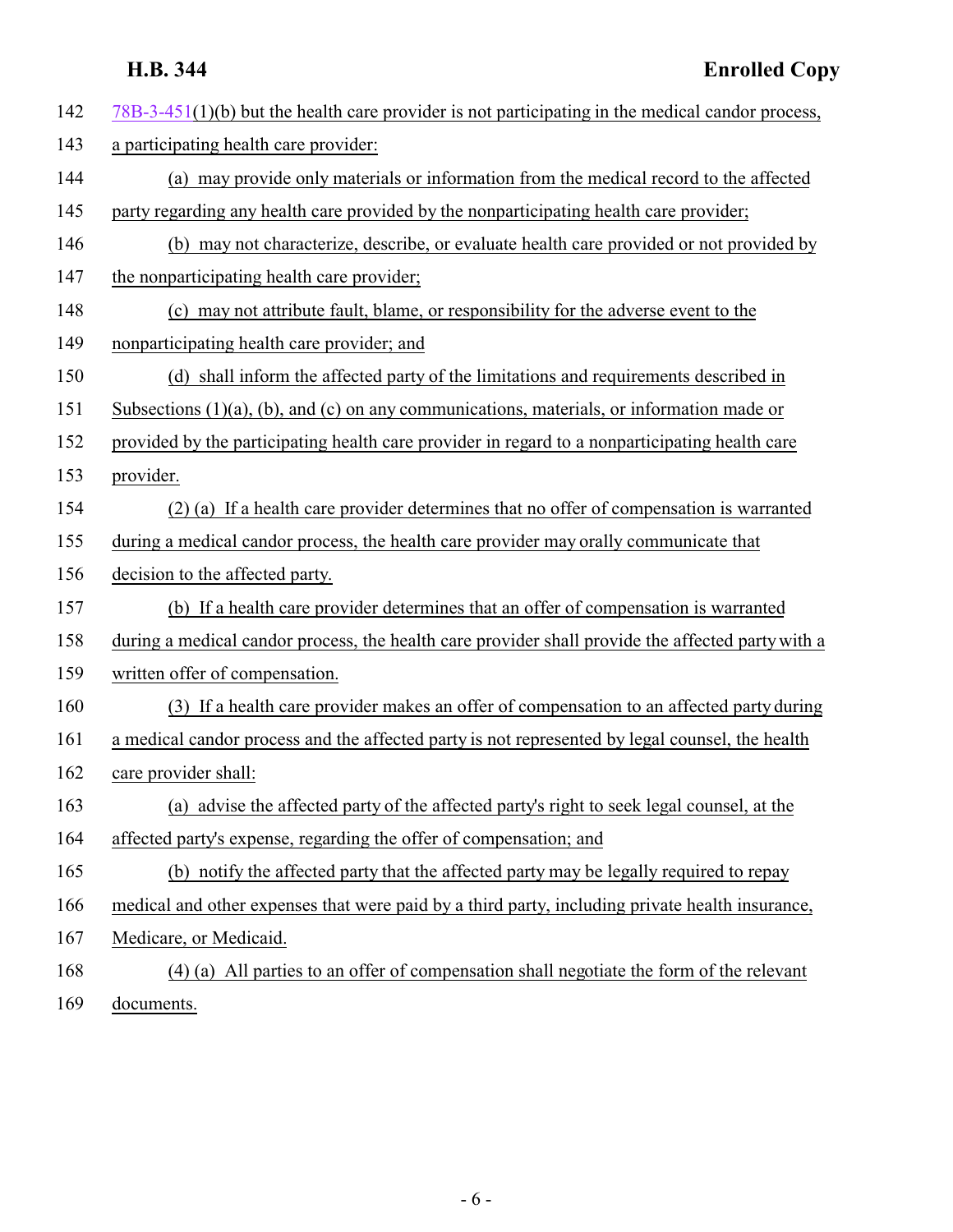| 142 | $78B-3-451(1)(b)$ but the health care provider is not participating in the medical candor process, |
|-----|----------------------------------------------------------------------------------------------------|
| 143 | a participating health care provider:                                                              |
| 144 | (a) may provide only materials or information from the medical record to the affected              |
| 145 | party regarding any health care provided by the nonparticipating health care provider;             |
| 146 | (b) may not characterize, describe, or evaluate health care provided or not provided by            |
| 147 | the nonparticipating health care provider;                                                         |
| 148 | (c) may not attribute fault, blame, or responsibility for the adverse event to the                 |
| 149 | nonparticipating health care provider; and                                                         |
| 150 | (d) shall inform the affected party of the limitations and requirements described in               |
| 151 | Subsections $(1)(a)$ , $(b)$ , and $(c)$ on any communications, materials, or information made or  |
| 152 | provided by the participating health care provider in regard to a nonparticipating health care     |
| 153 | provider.                                                                                          |
| 154 | (2) (a) If a health care provider determines that no offer of compensation is warranted            |
| 155 | during a medical candor process, the health care provider may orally communicate that              |
| 156 | decision to the affected party.                                                                    |
| 157 | (b) If a health care provider determines that an offer of compensation is warranted                |
| 158 | during a medical candor process, the health care provider shall provide the affected party with a  |
| 159 | written offer of compensation.                                                                     |
| 160 | (3) If a health care provider makes an offer of compensation to an affected party during           |
| 161 | a medical candor process and the affected party is not represented by legal counsel, the health    |
| 162 | care provider shall:                                                                               |
| 163 | (a) advise the affected party of the affected party's right to seek legal counsel, at the          |
| 164 | affected party's expense, regarding the offer of compensation; and                                 |
| 165 | (b) notify the affected party that the affected party may be legally required to repay             |
| 166 | medical and other expenses that were paid by a third party, including private health insurance,    |
| 167 | Medicare, or Medicaid.                                                                             |
| 168 | (4) (a) All parties to an offer of compensation shall negotiate the form of the relevant           |
| 169 | documents.                                                                                         |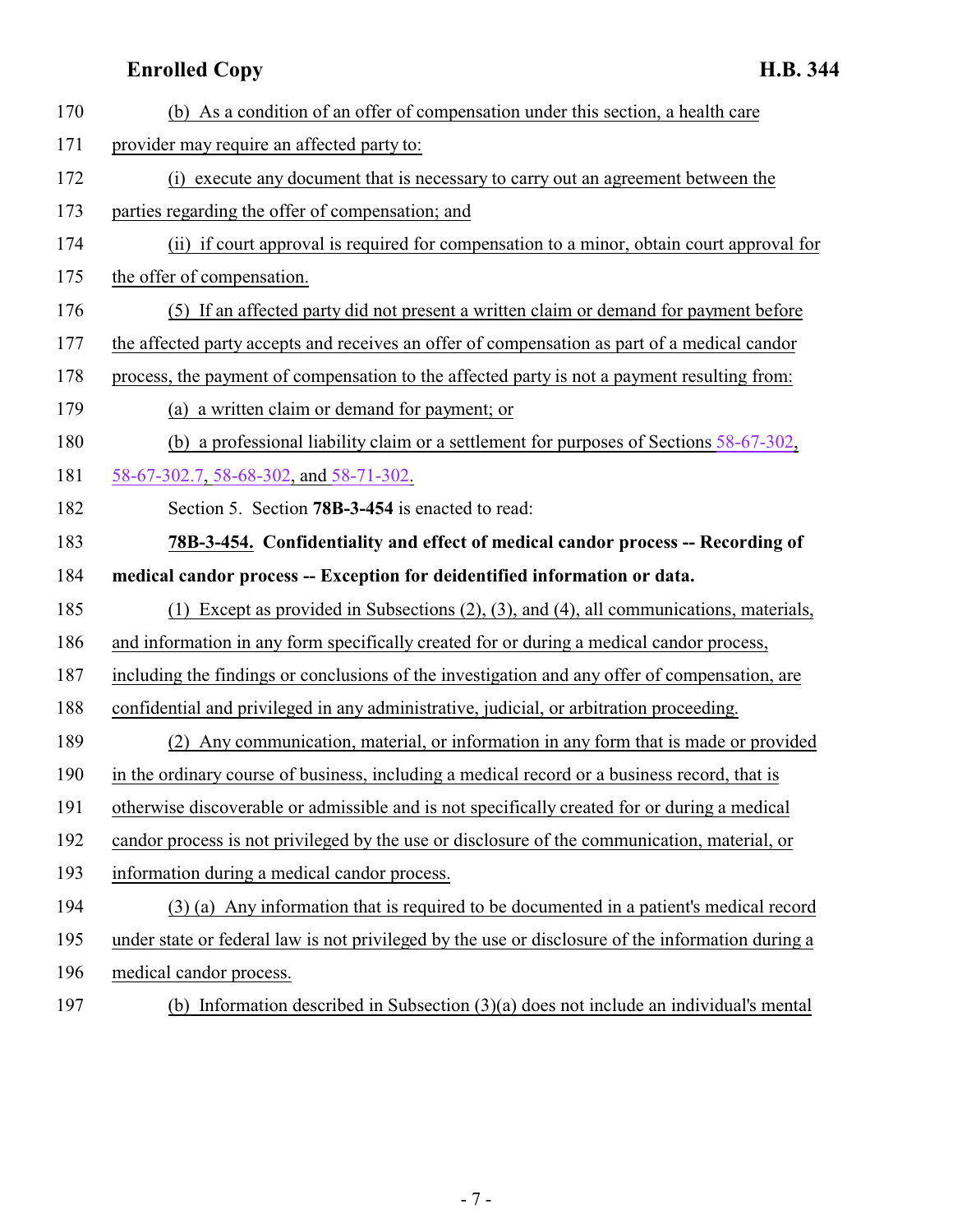<span id="page-6-0"></span>

| 170 | (b) As a condition of an offer of compensation under this section, a health care                  |
|-----|---------------------------------------------------------------------------------------------------|
| 171 | provider may require an affected party to:                                                        |
| 172 | execute any document that is necessary to carry out an agreement between the<br>(i)               |
| 173 | parties regarding the offer of compensation; and                                                  |
| 174 | (ii) if court approval is required for compensation to a minor, obtain court approval for         |
| 175 | the offer of compensation.                                                                        |
| 176 | (5) If an affected party did not present a written claim or demand for payment before             |
| 177 | the affected party accepts and receives an offer of compensation as part of a medical candor      |
| 178 | process, the payment of compensation to the affected party is not a payment resulting from:       |
| 179 | (a) a written claim or demand for payment; or                                                     |
| 180 | (b) a professional liability claim or a settlement for purposes of Sections $58-67-302$ ,         |
| 181 | 58-67-302.7, 58-68-302, and 58-71-302.                                                            |
| 182 | Section 5. Section 78B-3-454 is enacted to read:                                                  |
| 183 | 78B-3-454. Confidentiality and effect of medical candor process -- Recording of                   |
|     |                                                                                                   |
| 184 | medical candor process -- Exception for deidentified information or data.                         |
| 185 | (1) Except as provided in Subsections $(2)$ , $(3)$ , and $(4)$ , all communications, materials,  |
| 186 | and information in any form specifically created for or during a medical candor process,          |
| 187 | including the findings or conclusions of the investigation and any offer of compensation, are     |
| 188 | confidential and privileged in any administrative, judicial, or arbitration proceeding.           |
| 189 | (2) Any communication, material, or information in any form that is made or provided              |
| 190 | in the ordinary course of business, including a medical record or a business record, that is      |
| 191 | otherwise discoverable or admissible and is not specifically created for or during a medical      |
| 192 | candor process is not privileged by the use or disclosure of the communication, material, or      |
| 193 | information during a medical candor process.                                                      |
| 194 | (3) (a) Any information that is required to be documented in a patient's medical record           |
| 195 | under state or federal law is not privileged by the use or disclosure of the information during a |

(b) Information described in Subsection (3)(a) does not include an individual's mental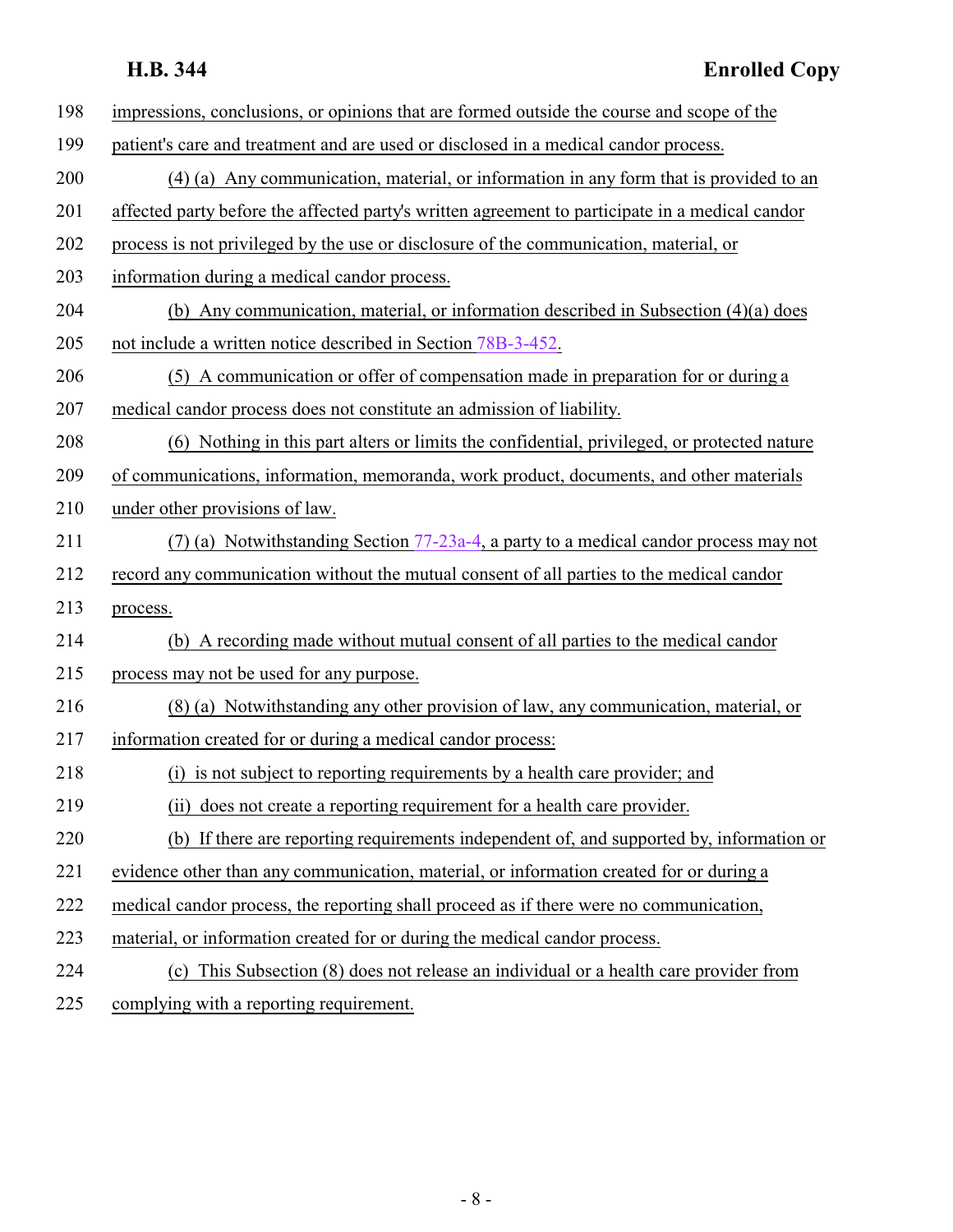| 198       | impressions, conclusions, or opinions that are formed outside the course and scope of the       |
|-----------|-------------------------------------------------------------------------------------------------|
| 199       | patient's care and treatment and are used or disclosed in a medical candor process.             |
| 200       | (4) (a) Any communication, material, or information in any form that is provided to an          |
| 201       | affected party before the affected party's written agreement to participate in a medical candor |
| 202       | process is not privileged by the use or disclosure of the communication, material, or           |
| 203       | information during a medical candor process.                                                    |
| 204       | (b) Any communication, material, or information described in Subsection (4)(a) does             |
| 205       | not include a written notice described in Section 78B-3-452.                                    |
| 206       | (5) A communication or offer of compensation made in preparation for or during a                |
| 207       | medical candor process does not constitute an admission of liability.                           |
| 208       | (6) Nothing in this part alters or limits the confidential, privileged, or protected nature     |
| 209       | of communications, information, memoranda, work product, documents, and other materials         |
| 210       | under other provisions of law.                                                                  |
| 211       | (7) (a) Notwithstanding Section $77-23a-4$ , a party to a medical candor process may not        |
| 212       | record any communication without the mutual consent of all parties to the medical candor        |
| 213       | process.                                                                                        |
| 214       | (b) A recording made without mutual consent of all parties to the medical candor                |
| 215       | process may not be used for any purpose.                                                        |
| 216       | (8) (a) Notwithstanding any other provision of law, any communication, material, or             |
| 217       | information created for or during a medical candor process:                                     |
| 218       | (i) is not subject to reporting requirements by a health care provider; and                     |
| 219       | (ii) does not create a reporting requirement for a health care provider.                        |
| 220       | (b) If there are reporting requirements independent of, and supported by, information or        |
| 221       | evidence other than any communication, material, or information created for or during a         |
| 222       | medical candor process, the reporting shall proceed as if there were no communication,          |
| 223       | material, or information created for or during the medical candor process.                      |
| 224       | (c) This Subsection (8) does not release an individual or a health care provider from           |
| $\bigcap$ | الفترة ووومن والمواطن والمنافس والمساور والفاردة والمناور                                       |

225 complying with a reporting requirement.